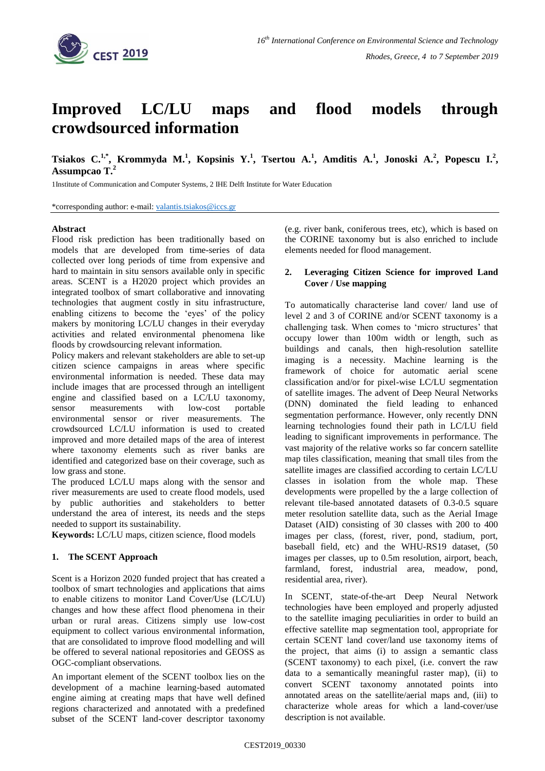

# **Improved LC/LU maps and flood models through crowdsourced information**

**Tsiakos C.**<sup>1,\*</sup>, Krommyda M.<sup>1</sup>, Kopsinis Y.<sup>1</sup>, Tsertou A.<sup>1</sup>, Amditis A.<sup>1</sup>, Jonoski A.<sup>2</sup>, Popescu I.<sup>2</sup>, **Assumpcao T.<sup>2</sup>**

1Institute of Communication and Computer Systems, 2 IHE Delft Institute for Water Education

\*corresponding author: e-mail: [valantis.tsiakos@iccs.gr](mailto:valantis.tsiakos@iccs.gr)

#### **Abstract**

Flood risk prediction has been traditionally based on models that are developed from time-series of data collected over long periods of time from expensive and hard to maintain in situ sensors available only in specific areas. SCENT is a H2020 project which provides an integrated toolbox of smart collaborative and innovating technologies that augment costly in situ infrastructure, enabling citizens to become the 'eyes' of the policy makers by monitoring LC/LU changes in their everyday activities and related environmental phenomena like floods by crowdsourcing relevant information.

Policy makers and relevant stakeholders are able to set-up citizen science campaigns in areas where specific environmental information is needed. These data may include images that are processed through an intelligent engine and classified based on a LC/LU taxonomy, sensor measurements with low-cost portable environmental sensor or river measurements. The crowdsourced LC/LU information is used to created improved and more detailed maps of the area of interest where taxonomy elements such as river banks are identified and categorized base on their coverage, such as low grass and stone.

The produced LC/LU maps along with the sensor and river measurements are used to create flood models, used by public authorities and stakeholders to better understand the area of interest, its needs and the steps needed to support its sustainability.

**Keywords:** LC/LU maps, citizen science, flood models

#### **1. The SCENT Approach**

Scent is a Horizon 2020 funded project that has created a toolbox of smart technologies and applications that aims to enable citizens to monitor Land Cover/Use (LC/LU) changes and how these affect flood phenomena in their urban or rural areas. Citizens simply use low-cost equipment to collect various environmental information, that are consolidated to improve flood modelling and will be offered to several national repositories and GEOSS as OGC-compliant observations.

An important element of the SCENT toolbox lies on the development of a machine learning-based automated engine aiming at creating maps that have well defined regions characterized and annotated with a predefined subset of the SCENT land-cover descriptor taxonomy (e.g. river bank, coniferous trees, etc), which is based on the CORINE taxonomy but is also enriched to include elements needed for flood management.

### **2. Leveraging Citizen Science for improved Land Cover / Use mapping**

To automatically characterise land cover/ land use of level 2 and 3 of CORINE and/or SCENT taxonomy is a challenging task. When comes to 'micro structures' that occupy lower than 100m width or length, such as buildings and canals, then high-resolution satellite imaging is a necessity. Machine learning is the framework of choice for automatic aerial scene classification and/or for pixel-wise LC/LU segmentation of satellite images. The advent of Deep Neural Networks (DNN) dominated the field leading to enhanced segmentation performance. However, only recently DNN learning technologies found their path in LC/LU field leading to significant improvements in performance. The vast majority of the relative works so far concern satellite map tiles classification, meaning that small tiles from the satellite images are classified according to certain LC/LU classes in isolation from the whole map. These developments were propelled by the a large collection of relevant tile-based annotated datasets of 0.3-0.5 square meter resolution satellite data, such as the Aerial Image Dataset (AID) consisting of 30 classes with 200 to 400 images per class, (forest, river, pond, stadium, port, baseball field, etc) and the WHU-RS19 dataset, (50 images per classes, up to 0.5m resolution, airport, beach, farmland, forest, industrial area, meadow, pond, residential area, river).

In SCENT, state-of-the-art Deep Neural Network technologies have been employed and properly adjusted to the satellite imaging peculiarities in order to build an effective satellite map segmentation tool, appropriate for certain SCENT land cover/land use taxonomy items of the project, that aims (i) to assign a semantic class (SCENT taxonomy) to each pixel, (i.e. convert the raw data to a semantically meaningful raster map), (ii) to convert SCENT taxonomy annotated points into annotated areas on the satellite/aerial maps and, (iii) to characterize whole areas for which a land-cover/use description is not available.